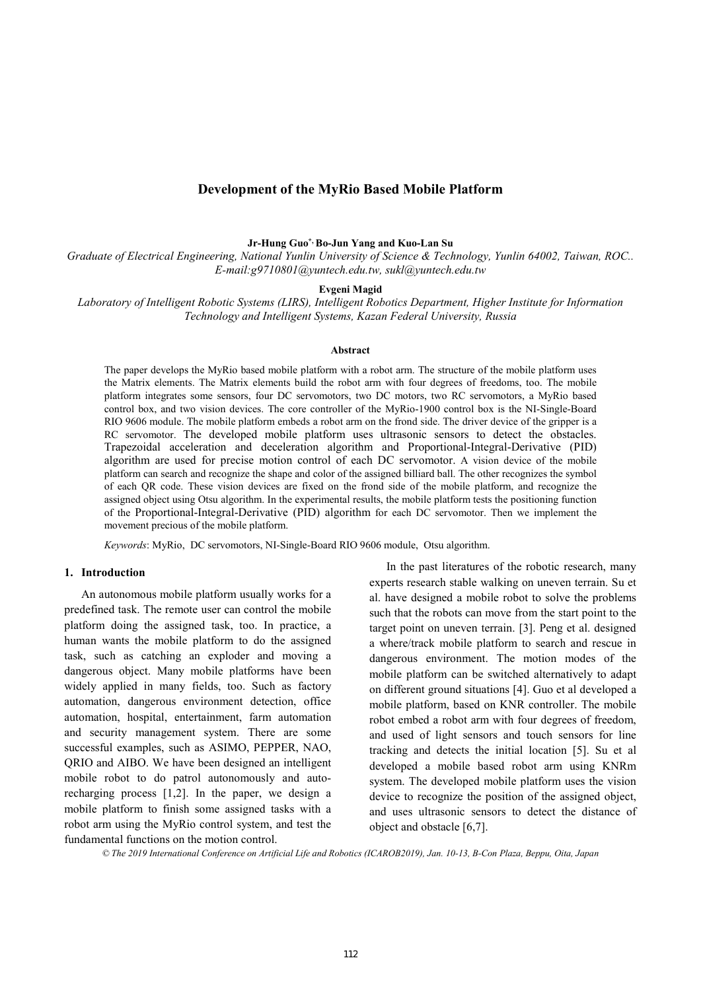# **Development of the MyRio Based Mobile Platform**

## **Jr-Hung Guo\*, Bo-Jun Yang and Kuo-Lan Su**

*Graduate of Electrical Engineering, National Yunlin University of Science & Technology, Yunlin 64002, Taiwan, ROC.. E-mail:g9710801@yuntech.edu.tw, sukl@yuntech.edu.tw* 

**Evgeni Magid**

*Laboratory of Intelligent Robotic Systems (LIRS), Intelligent Robotics Department, Higher Institute for Information Technology and Intelligent Systems, Kazan Federal University, Russia* 

#### **Abstract**

The paper develops the MyRio based mobile platform with a robot arm. The structure of the mobile platform uses the Matrix elements. The Matrix elements build the robot arm with four degrees of freedoms, too. The mobile platform integrates some sensors, four DC servomotors, two DC motors, two RC servomotors, a MyRio based control box, and two vision devices. The core controller of the MyRio-1900 control box is the NI-Single-Board RIO 9606 module. The mobile platform embeds a robot arm on the frond side. The driver device of the gripper is a RC servomotor. The developed mobile platform uses ultrasonic sensors to detect the obstacles. Trapezoidal acceleration and deceleration algorithm and Proportional-Integral-Derivative (PID) algorithm are used for precise motion control of each DC servomotor. A vision device of the mobile platform can search and recognize the shape and color of the assigned billiard ball. The other recognizes the symbol of each QR code. These vision devices are fixed on the frond side of the mobile platform, and recognize the assigned object using Otsu algorithm. In the experimental results, the mobile platform tests the positioning function of the Proportional-Integral-Derivative (PID) algorithm for each DC servomotor. Then we implement the movement precious of the mobile platform.

*Keywords*: MyRio, DC servomotors, NI-Single-Board RIO 9606 module, Otsu algorithm.

## **1. Introduction**

An autonomous mobile platform usually works for a predefined task. The remote user can control the mobile platform doing the assigned task, too. In practice, a human wants the mobile platform to do the assigned task, such as catching an exploder and moving a dangerous object. Many mobile platforms have been widely applied in many fields, too. Such as factory automation, dangerous environment detection, office automation, hospital, entertainment, farm automation and security management system. There are some successful examples, such as ASIMO, PEPPER, NAO, QRIO and AIBO. We have been designed an intelligent mobile robot to do patrol autonomously and autorecharging process [1,2]. In the paper, we design a mobile platform to finish some assigned tasks with a robot arm using the MyRio control system, and test the fundamental functions on the motion control.

In the past literatures of the robotic research, many experts research stable walking on uneven terrain. Su et al. have designed a mobile robot to solve the problems such that the robots can move from the start point to the target point on uneven terrain. [3]. Peng et al. designed a where/track mobile platform to search and rescue in dangerous environment. The motion modes of the mobile platform can be switched alternatively to adapt on different ground situations [4]. Guo et al developed a mobile platform, based on KNR controller. The mobile robot embed a robot arm with four degrees of freedom, and used of light sensors and touch sensors for line tracking and detects the initial location [5]. Su et al developed a mobile based robot arm using KNRm system. The developed mobile platform uses the vision device to recognize the position of the assigned object, and uses ultrasonic sensors to detect the distance of object and obstacle [6,7].

*© The 2019 International Conference on Artificial Life and Robotics (ICAROB2019), Jan. 10-13, B-Con Plaza, Beppu, Oita, Japan*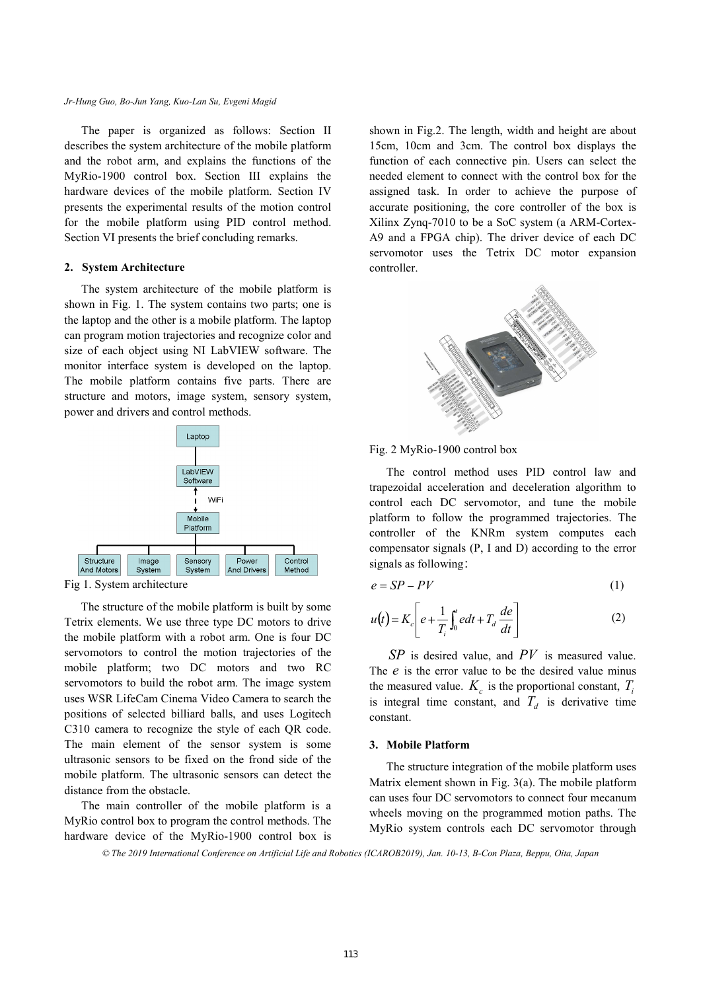#### *Jr-Hung Guo, Bo-Jun Yang, Kuo-Lan Su, Evgeni Magid*

The paper is organized as follows: Section II describes the system architecture of the mobile platform and the robot arm, and explains the functions of the MyRio-1900 control box. Section III explains the hardware devices of the mobile platform. Section IV presents the experimental results of the motion control for the mobile platform using PID control method. Section VI presents the brief concluding remarks.

## **2. System Architecture**

The system architecture of the mobile platform is shown in Fig. 1. The system contains two parts; one is the laptop and the other is a mobile platform. The laptop can program motion trajectories and recognize color and size of each object using NI LabVIEW software. The monitor interface system is developed on the laptop. The mobile platform contains five parts. There are structure and motors, image system, sensory system, power and drivers and control methods.



Fig 1. System architecture

The structure of the mobile platform is built by some Tetrix elements. We use three type DC motors to drive the mobile platform with a robot arm. One is four DC servomotors to control the motion trajectories of the mobile platform; two DC motors and two RC servomotors to build the robot arm. The image system uses WSR LifeCam Cinema Video Camera to search the positions of selected billiard balls, and uses Logitech C310 camera to recognize the style of each QR code. The main element of the sensor system is some ultrasonic sensors to be fixed on the frond side of the mobile platform. The ultrasonic sensors can detect the distance from the obstacle.

The main controller of the mobile platform is a MyRio control box to program the control methods. The hardware device of the MyRio-1900 control box is shown in Fig.2. The length, width and height are about 15cm, 10cm and 3cm. The control box displays the function of each connective pin. Users can select the needed element to connect with the control box for the assigned task. In order to achieve the purpose of accurate positioning, the core controller of the box is Xilinx Zynq-7010 to be a SoC system (a ARM-Cortex-A9 and a FPGA chip). The driver device of each DC servomotor uses the Tetrix DC motor expansion controller.



## Fig. 2 MyRio-1900 control box

The control method uses PID control law and trapezoidal acceleration and deceleration algorithm to control each DC servomotor, and tune the mobile platform to follow the programmed trajectories. The controller of the KNRm system computes each compensator signals (P, I and D) according to the error signals as following:

$$
e = SP - PV \tag{1}
$$

$$
u(t) = K_c \left[ e + \frac{1}{T_i} \int_0^t e dt + T_d \frac{de}{dt} \right]
$$
 (2)

*SP* is desired value, and *PV* is measured value. The *e* is the error value to be the desired value minus the measured value.  $K_c$  is the proportional constant,  $T_i$ is integral time constant, and  $T_d$  is derivative time constant.

## **3. Mobile Platform**

The structure integration of the mobile platform uses Matrix element shown in Fig. 3(a). The mobile platform can uses four DC servomotors to connect four mecanum wheels moving on the programmed motion paths. The MyRio system controls each DC servomotor through

*© The 2019 International Conference on Artificial Life and Robotics (ICAROB2019), Jan. 10-13, B-Con Plaza, Beppu, Oita, Japan*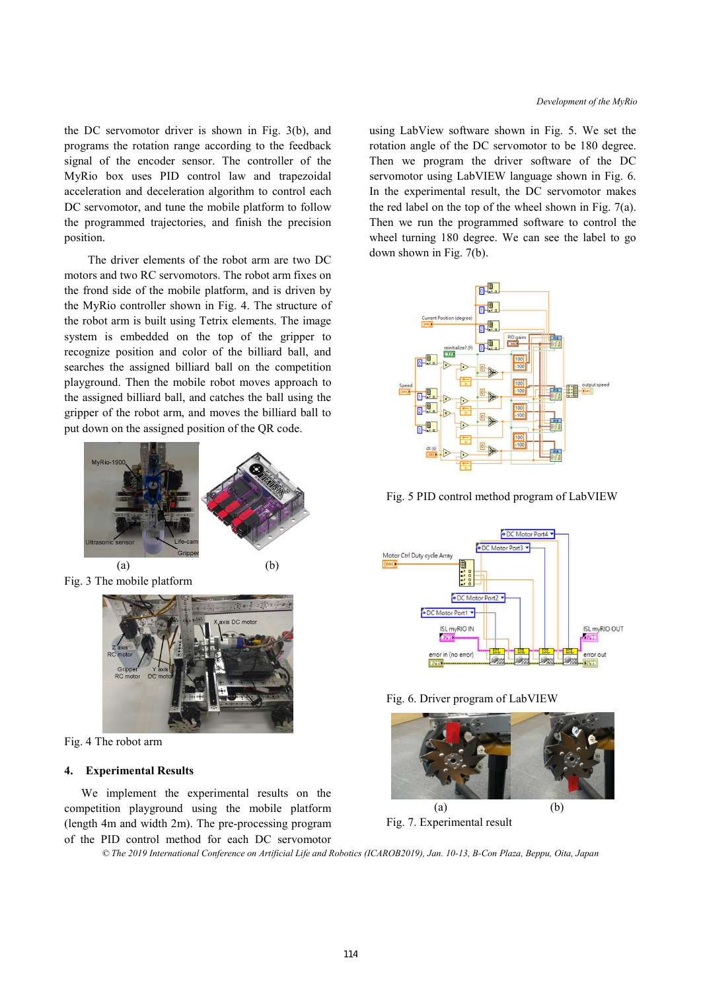the DC servomotor driver is shown in Fig. 3(b), and programs the rotation range according to the feedback signal of the encoder sensor. The controller of the MyRio box uses PID control law and trapezoidal acceleration and deceleration algorithm to control each DC servomotor, and tune the mobile platform to follow the programmed trajectories, and finish the precision position.

The driver elements of the robot arm are two DC motors and two RC servomotors. The robot arm fixes on the frond side of the mobile platform, and is driven by the MyRio controller shown in Fig. 4. The structure of the robot arm is built using Tetrix elements. The image system is embedded on the top of the gripper to recognize position and color of the billiard ball, and searches the assigned billiard ball on the competition playground. Then the mobile robot moves approach to the assigned billiard ball, and catches the ball using the gripper of the robot arm, and moves the billiard ball to put down on the assigned position of the QR code.



Fig. 3 The mobile platform



Fig. 4 The robot arm

## **4. Experimental Results**

We implement the experimental results on the competition playground using the mobile platform (length 4m and width 2m). The pre-processing program of the PID control method for each DC servomotor using LabView software shown in Fig. 5. We set the rotation angle of the DC servomotor to be 180 degree. Then we program the driver software of the DC servomotor using LabVIEW language shown in Fig. 6. In the experimental result, the DC servomotor makes the red label on the top of the wheel shown in Fig. 7(a). Then we run the programmed software to control the wheel turning 180 degree. We can see the label to go down shown in Fig. 7(b).



Fig. 5 PID control method program of LabVIEW







*© The 2019 International Conference on Artificial Life and Robotics (ICAROB2019), Jan. 10-13, B-Con Plaza, Beppu, Oita, Japan*